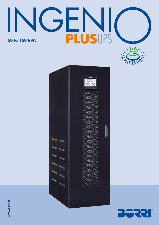# GF V PLUSUPS 60 to 160 kVA





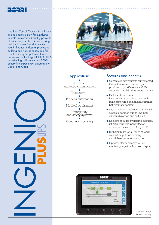

Low Total Cost of Ownership, efficient and compact solution for supplying reliable uninterrupted quality power to all critical applications in networking and small to medium data center, health, finance, industrial processing, building and transportation and for TLC. Featuring our patented Green Conversion technology INGENIO PLUS provides high efficiency and 100% battery life expectancy, ensuring low Capex and Opex.





# **Applications**

● Networking and telecommunication ● Data server ● Process automation ● Medical equipment

● Emergency and safety systems ●

Continuous cooling

## Features and benefits

- Continuous savings with our patented Green Conversion technology, providing high efficiency and life extension on UPS critical components'.
- Reduced floor space: lower environmental footprint with transformer free design and common battery management.
- Clean mains and full compatibility with Genset operation due to low input current distortion and soft start.
- No extra costs for oversizing electrical infrastructure and power factor correction thanks to 0.99 input PF.
- High flexibility for all types of loads with full output power rating and different operating modes.
- Optional clear and easy-to-use multi-language touch screen display.



Optional touch screen display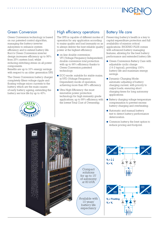

## Green Conversion

Green Conversion technology is based on our patented control algorithm, managing the battery-inverter subsystem to enhance system efficiency and to extend battery life. Borri's Green Conversion inverter design increases efficiency up to 96% from 25% system load, whilst reducing switching stress on all power components.

Benefits are up to 33% energy savings with respect to an older generation UPS.

The Green Conversion battery charger completely filters voltage ripple and floating voltage micro currents to the battery, which are the main causes of early battery ageing, extending the battery service life by up to 40%.

# High efficiency operations

The UPS is capable of different modes of operation for any application according to mains quality and load immunity so as to always deliver the best reliable quality power at the highest efficiency:

- on-line double conversion: VFI (Voltage Frequency Independent) double conversion total protection with up to 96% efficiency thanks to Green Conversion patented technology.
- ECO mode: suitable for stable mains, in VFD (Voltage Frequency Dependent) mode of operation, achieving more than 98% efficiency.
- Ultra High Efficiency: the most innovative power protection technology for high immunity grade applications, up to 99% efficiency, with the lowest Total Cost of Ownership.

Compact solutions for up to 15' of autonomy at 80 kVA

Available with 10 years' battery life expectancy

## Battery life care

Preserving battery's health is a key to capital expenditure protection and full availability of mission critical applications. INGENIO PLUS comes with advanced battery managing features, allowing for the best battery performance and extended battery life:

- Green Conversion Battery Care with adjustable cyclic charge (14-2 typical), providing 100% battery life and maximum energy savings.
- Dynamic Charging Mode: automatic adjusting of battery charging current, with priority to output loads, ensuring short charging times for long autonomy applications.
- Battery charging voltage temperature compensation to prevent excess battery charging and overheating.
- Automatic and manual battery test to detect battery performance deterioration.
- Common battery, the best option to reduce pricing and footprint.